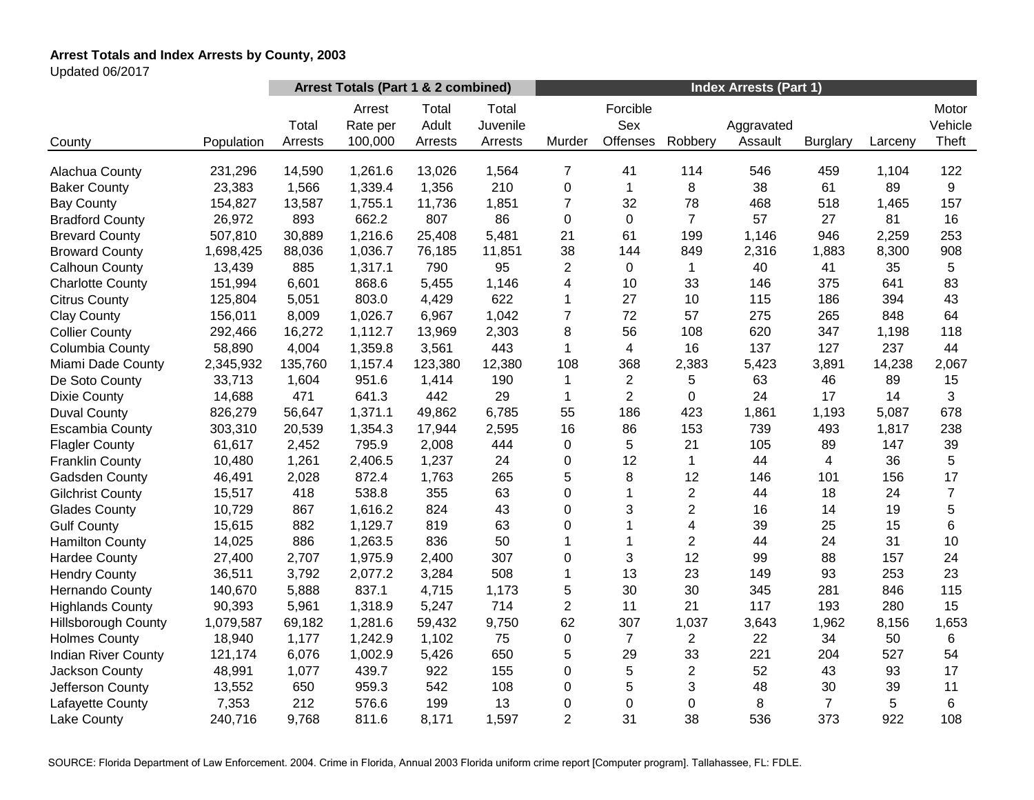# **Arrest Totals and Index Arrests by County, 2003**

Updated 06/2017

|                            |            | Arrest Totals (Part 1 & 2 combined) |                               |                           |                              | <b>Index Arrests (Part 1)</b> |                             |                |                       |                 |         |                           |
|----------------------------|------------|-------------------------------------|-------------------------------|---------------------------|------------------------------|-------------------------------|-----------------------------|----------------|-----------------------|-----------------|---------|---------------------------|
| County                     | Population | Total<br>Arrests                    | Arrest<br>Rate per<br>100,000 | Total<br>Adult<br>Arrests | Total<br>Juvenile<br>Arrests | Murder                        | Forcible<br>Sex<br>Offenses | Robbery        | Aggravated<br>Assault | <b>Burglary</b> | Larceny | Motor<br>Vehicle<br>Theft |
|                            |            |                                     |                               |                           |                              |                               |                             |                |                       |                 |         |                           |
| Alachua County             | 231,296    | 14,590                              | 1,261.6                       | 13,026                    | 1,564                        | 7                             | 41                          | 114            | 546                   | 459             | 1,104   | 122                       |
| <b>Baker County</b>        | 23,383     | 1,566                               | 1,339.4                       | 1,356                     | 210                          | 0                             | 1                           | 8              | 38                    | 61              | 89      | 9                         |
| <b>Bay County</b>          | 154,827    | 13,587                              | 1,755.1                       | 11,736                    | 1,851                        | $\overline{7}$                | 32                          | 78             | 468                   | 518             | 1,465   | 157                       |
| <b>Bradford County</b>     | 26,972     | 893                                 | 662.2                         | 807                       | 86                           | 0                             | $\mathbf 0$                 | $\overline{7}$ | 57                    | 27              | 81      | 16                        |
| <b>Brevard County</b>      | 507,810    | 30,889                              | 1,216.6                       | 25,408                    | 5,481                        | 21                            | 61                          | 199            | 1,146                 | 946             | 2,259   | 253                       |
| <b>Broward County</b>      | 1,698,425  | 88,036                              | 1,036.7                       | 76,185                    | 11,851                       | 38                            | 144                         | 849            | 2,316                 | 1,883           | 8,300   | 908                       |
| Calhoun County             | 13,439     | 885                                 | 1,317.1                       | 790                       | 95                           | $\overline{c}$                | $\mathbf 0$                 | 1              | 40                    | 41              | 35      | 5                         |
| <b>Charlotte County</b>    | 151,994    | 6,601                               | 868.6                         | 5,455                     | 1,146                        | 4                             | 10                          | 33             | 146                   | 375             | 641     | 83                        |
| <b>Citrus County</b>       | 125,804    | 5,051                               | 803.0                         | 4,429                     | 622                          | 1                             | 27                          | 10             | 115                   | 186             | 394     | 43                        |
| <b>Clay County</b>         | 156,011    | 8,009                               | 1,026.7                       | 6,967                     | 1,042                        | $\overline{7}$                | 72                          | 57             | 275                   | 265             | 848     | 64                        |
| <b>Collier County</b>      | 292,466    | 16,272                              | 1,112.7                       | 13,969                    | 2,303                        | 8                             | 56                          | 108            | 620                   | 347             | 1,198   | 118                       |
| Columbia County            | 58,890     | 4,004                               | 1,359.8                       | 3,561                     | 443                          | 1                             | $\overline{4}$              | 16             | 137                   | 127             | 237     | 44                        |
| Miami Dade County          | 2,345,932  | 135,760                             | 1,157.4                       | 123,380                   | 12,380                       | 108                           | 368                         | 2,383          | 5,423                 | 3,891           | 14,238  | 2,067                     |
| De Soto County             | 33,713     | 1,604                               | 951.6                         | 1,414                     | 190                          | 1                             | $\overline{c}$              | 5              | 63                    | 46              | 89      | 15                        |
| <b>Dixie County</b>        | 14,688     | 471                                 | 641.3                         | 442                       | 29                           | 1                             | $\overline{2}$              | 0              | 24                    | 17              | 14      | 3                         |
| <b>Duval County</b>        | 826,279    | 56,647                              | 1,371.1                       | 49,862                    | 6,785                        | 55                            | 186                         | 423            | 1,861                 | 1,193           | 5,087   | 678                       |
| <b>Escambia County</b>     | 303,310    | 20,539                              | 1,354.3                       | 17,944                    | 2,595                        | 16                            | 86                          | 153            | 739                   | 493             | 1,817   | 238                       |
| <b>Flagler County</b>      | 61,617     | 2,452                               | 795.9                         | 2,008                     | 444                          | 0                             | 5                           | 21             | 105                   | 89              | 147     | 39                        |
| <b>Franklin County</b>     | 10,480     | 1,261                               | 2,406.5                       | 1,237                     | 24                           | 0                             | 12                          | 1              | 44                    | $\overline{4}$  | 36      | 5                         |
| Gadsden County             | 46,491     | 2,028                               | 872.4                         | 1,763                     | 265                          | 5                             | 8                           | 12             | 146                   | 101             | 156     | 17                        |
| <b>Gilchrist County</b>    | 15,517     | 418                                 | 538.8                         | 355                       | 63                           | 0                             | 1                           | $\overline{2}$ | 44                    | 18              | 24      | $\overline{7}$            |
| <b>Glades County</b>       | 10,729     | 867                                 | 1,616.2                       | 824                       | 43                           | 0                             | 3                           | $\overline{2}$ | 16                    | 14              | 19      | 5                         |
| <b>Gulf County</b>         | 15,615     | 882                                 | 1,129.7                       | 819                       | 63                           | 0                             |                             | 4              | 39                    | 25              | 15      | 6                         |
| <b>Hamilton County</b>     | 14,025     | 886                                 | 1,263.5                       | 836                       | 50                           | 1                             | $\mathbf{1}$                | $\overline{c}$ | 44                    | 24              | 31      | 10                        |
| <b>Hardee County</b>       | 27,400     | 2,707                               | 1,975.9                       | 2,400                     | 307                          | 0                             | 3                           | 12             | 99                    | 88              | 157     | 24                        |
| <b>Hendry County</b>       | 36,511     | 3,792                               | 2,077.2                       | 3,284                     | 508                          | $\mathbf{1}$                  | 13                          | 23             | 149                   | 93              | 253     | 23                        |
| Hernando County            | 140,670    | 5,888                               | 837.1                         | 4,715                     | 1,173                        | 5                             | 30                          | 30             | 345                   | 281             | 846     | 115                       |
| <b>Highlands County</b>    | 90,393     | 5,961                               | 1,318.9                       | 5,247                     | 714                          | $\overline{2}$                | 11                          | 21             | 117                   | 193             | 280     | 15                        |
| <b>Hillsborough County</b> | 1,079,587  | 69,182                              | 1,281.6                       | 59,432                    | 9,750                        | 62                            | 307                         | 1,037          | 3,643                 | 1,962           | 8,156   | 1,653                     |
| <b>Holmes County</b>       | 18,940     | 1,177                               | 1,242.9                       | 1,102                     | 75                           | 0                             | $\overline{7}$              | $\overline{c}$ | 22                    | 34              | 50      | 6                         |
| <b>Indian River County</b> | 121,174    | 6,076                               | 1,002.9                       | 5,426                     | 650                          | 5                             | 29                          | 33             | 221                   | 204             | 527     | 54                        |
| Jackson County             | 48,991     | 1,077                               | 439.7                         | 922                       | 155                          | 0                             | 5                           | $\overline{c}$ | 52                    | 43              | 93      | 17                        |
| Jefferson County           | 13,552     | 650                                 | 959.3                         | 542                       | 108                          | 0                             | 5                           | 3              | 48                    | 30              | 39      | 11                        |
| Lafayette County           | 7,353      | 212                                 | 576.6                         | 199                       | 13                           | 0                             | 0                           | 0              | 8                     | $\overline{7}$  | 5       | 6                         |
| Lake County                | 240,716    | 9,768                               | 811.6                         | 8,171                     | 1,597                        | $\overline{2}$                | 31                          | 38             | 536                   | 373             | 922     | 108                       |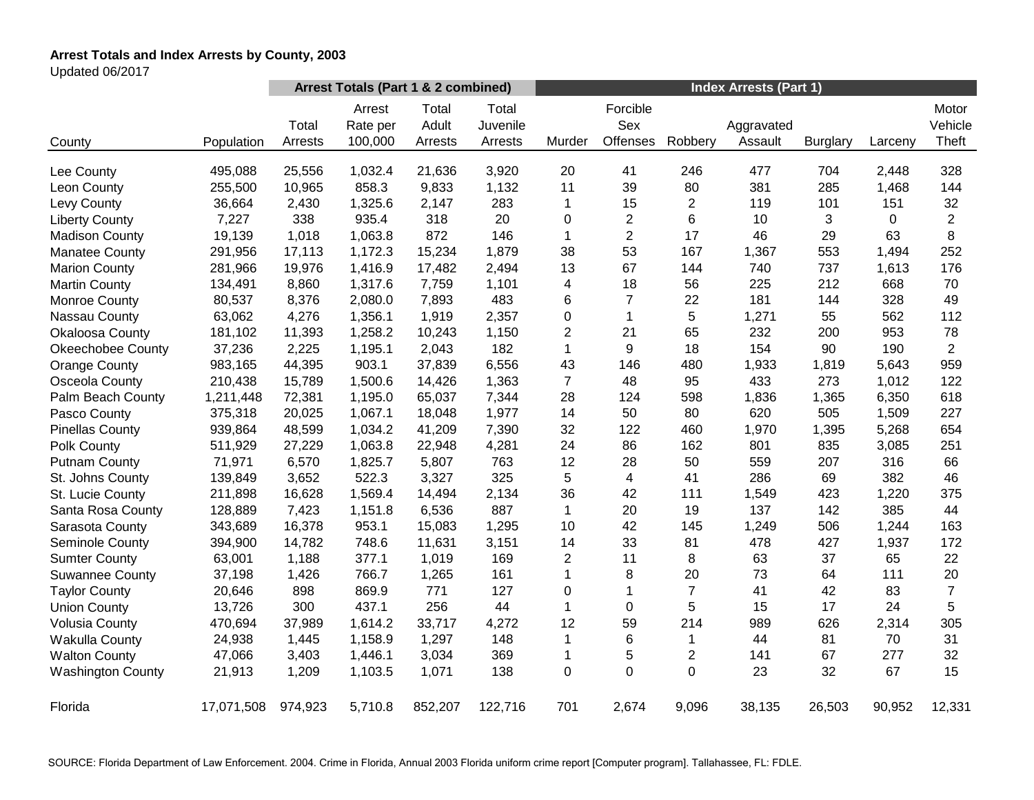# **Arrest Totals and Index Arrests by County, 2003**

Updated 06/2017

|                          |            | Arrest Totals (Part 1 & 2 combined) |                               |                           |                              | <b>Index Arrests (Part 1)</b> |                             |                |                       |                 |         |                           |
|--------------------------|------------|-------------------------------------|-------------------------------|---------------------------|------------------------------|-------------------------------|-----------------------------|----------------|-----------------------|-----------------|---------|---------------------------|
| County                   | Population | Total<br>Arrests                    | Arrest<br>Rate per<br>100,000 | Total<br>Adult<br>Arrests | Total<br>Juvenile<br>Arrests | Murder                        | Forcible<br>Sex<br>Offenses | Robbery        | Aggravated<br>Assault | <b>Burglary</b> | Larceny | Motor<br>Vehicle<br>Theft |
| Lee County               | 495,088    | 25,556                              | 1,032.4                       | 21,636                    | 3,920                        | 20                            | 41                          | 246            | 477                   | 704             | 2,448   | 328                       |
| Leon County              | 255,500    | 10,965                              | 858.3                         | 9,833                     | 1,132                        | 11                            | 39                          | 80             | 381                   | 285             | 1,468   | 144                       |
| Levy County              | 36,664     | 2,430                               | 1,325.6                       | 2,147                     | 283                          | 1                             | 15                          | $\overline{2}$ | 119                   | 101             | 151     | 32                        |
| <b>Liberty County</b>    | 7,227      | 338                                 | 935.4                         | 318                       | 20                           | 0                             | $\overline{2}$              | 6              | 10                    | 3               | 0       | $\overline{2}$            |
| <b>Madison County</b>    | 19,139     | 1,018                               | 1,063.8                       | 872                       | 146                          | $\mathbf{1}$                  | $\overline{2}$              | 17             | 46                    | 29              | 63      | 8                         |
| <b>Manatee County</b>    | 291,956    | 17,113                              | 1,172.3                       | 15,234                    | 1,879                        | 38                            | 53                          | 167            | 1,367                 | 553             | 1,494   | 252                       |
| <b>Marion County</b>     | 281,966    | 19,976                              | 1,416.9                       | 17,482                    | 2,494                        | 13                            | 67                          | 144            | 740                   | 737             | 1,613   | 176                       |
| <b>Martin County</b>     | 134,491    | 8,860                               | 1,317.6                       | 7,759                     | 1,101                        | 4                             | 18                          | 56             | 225                   | 212             | 668     | 70                        |
| <b>Monroe County</b>     | 80,537     | 8,376                               | 2,080.0                       | 7,893                     | 483                          | 6                             | $\overline{7}$              | 22             | 181                   | 144             | 328     | 49                        |
| Nassau County            | 63,062     | 4,276                               | 1,356.1                       | 1,919                     | 2,357                        | 0                             | $\mathbf{1}$                | 5              | 1,271                 | 55              | 562     | 112                       |
| Okaloosa County          | 181,102    | 11,393                              | 1,258.2                       | 10,243                    | 1,150                        | $\overline{c}$                | 21                          | 65             | 232                   | 200             | 953     | 78                        |
| <b>Okeechobee County</b> | 37,236     | 2,225                               | 1,195.1                       | 2,043                     | 182                          | 1                             | 9                           | 18             | 154                   | 90              | 190     | $\overline{2}$            |
| <b>Orange County</b>     | 983,165    | 44,395                              | 903.1                         | 37,839                    | 6,556                        | 43                            | 146                         | 480            | 1,933                 | 1,819           | 5,643   | 959                       |
| Osceola County           | 210,438    | 15,789                              | 1,500.6                       | 14,426                    | 1,363                        | 7                             | 48                          | 95             | 433                   | 273             | 1,012   | 122                       |
| Palm Beach County        | 1,211,448  | 72,381                              | 1,195.0                       | 65,037                    | 7,344                        | 28                            | 124                         | 598            | 1,836                 | 1,365           | 6,350   | 618                       |
| Pasco County             | 375,318    | 20,025                              | 1,067.1                       | 18,048                    | 1,977                        | 14                            | 50                          | 80             | 620                   | 505             | 1,509   | 227                       |
| <b>Pinellas County</b>   | 939,864    | 48,599                              | 1,034.2                       | 41,209                    | 7,390                        | 32                            | 122                         | 460            | 1,970                 | 1,395           | 5,268   | 654                       |
| Polk County              | 511,929    | 27,229                              | 1,063.8                       | 22,948                    | 4,281                        | 24                            | 86                          | 162            | 801                   | 835             | 3,085   | 251                       |
| <b>Putnam County</b>     | 71,971     | 6,570                               | 1,825.7                       | 5,807                     | 763                          | 12                            | 28                          | 50             | 559                   | 207             | 316     | 66                        |
| St. Johns County         | 139,849    | 3,652                               | 522.3                         | 3,327                     | 325                          | 5                             | 4                           | 41             | 286                   | 69              | 382     | 46                        |
| St. Lucie County         | 211,898    | 16,628                              | 1,569.4                       | 14,494                    | 2,134                        | 36                            | 42                          | 111            | 1,549                 | 423             | 1,220   | 375                       |
| Santa Rosa County        | 128,889    | 7,423                               | 1,151.8                       | 6,536                     | 887                          | $\mathbf 1$                   | 20                          | 19             | 137                   | 142             | 385     | 44                        |
| Sarasota County          | 343,689    | 16,378                              | 953.1                         | 15,083                    | 1,295                        | 10                            | 42                          | 145            | 1,249                 | 506             | 1,244   | 163                       |
| Seminole County          | 394,900    | 14,782                              | 748.6                         | 11,631                    | 3,151                        | 14                            | 33                          | 81             | 478                   | 427             | 1,937   | 172                       |
| <b>Sumter County</b>     | 63,001     | 1,188                               | 377.1                         | 1,019                     | 169                          | $\overline{2}$                | 11                          | 8              | 63                    | 37              | 65      | 22                        |
| <b>Suwannee County</b>   | 37,198     | 1,426                               | 766.7                         | 1,265                     | 161                          | $\mathbf{1}$                  | 8                           | 20             | 73                    | 64              | 111     | 20                        |
| <b>Taylor County</b>     | 20,646     | 898                                 | 869.9                         | 771                       | 127                          | 0                             | $\mathbf{1}$                | $\overline{7}$ | 41                    | 42              | 83      | $\overline{7}$            |
| <b>Union County</b>      | 13,726     | 300                                 | 437.1                         | 256                       | 44                           | 1                             | 0                           | 5              | 15                    | 17              | 24      | 5                         |
| <b>Volusia County</b>    | 470,694    | 37,989                              | 1,614.2                       | 33,717                    | 4,272                        | 12                            | 59                          | 214            | 989                   | 626             | 2,314   | 305                       |
| <b>Wakulla County</b>    | 24,938     | 1,445                               | 1,158.9                       | 1,297                     | 148                          | 1                             | 6                           | $\mathbf{1}$   | 44                    | 81              | 70      | 31                        |
| <b>Walton County</b>     | 47,066     | 3,403                               | 1,446.1                       | 3,034                     | 369                          | 1                             | 5                           | $\overline{2}$ | 141                   | 67              | 277     | 32                        |
| <b>Washington County</b> | 21,913     | 1,209                               | 1,103.5                       | 1,071                     | 138                          | 0                             | 0                           | 0              | 23                    | 32              | 67      | 15                        |
| Florida                  | 17,071,508 | 974,923                             | 5,710.8                       | 852,207                   | 122,716                      | 701                           | 2,674                       | 9,096          | 38,135                | 26,503          | 90,952  | 12,331                    |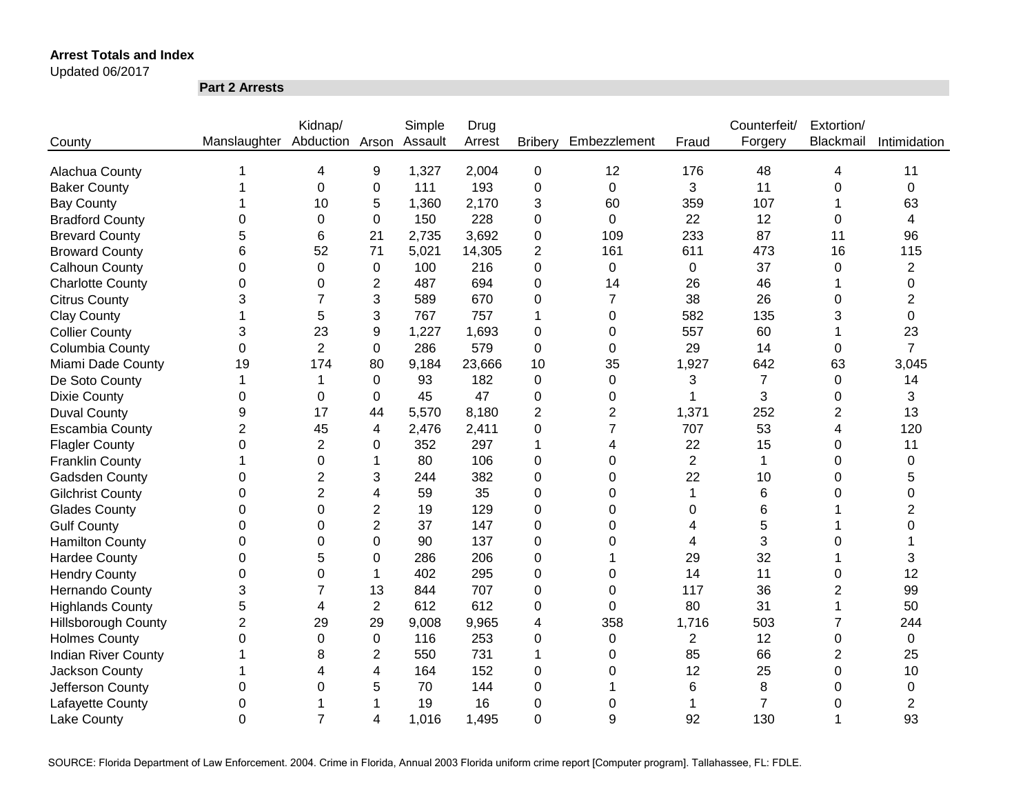Updated 06/2017

**Part 2 Arrests**

|                            |                              | Kidnap/        |                | Simple  | Drug   |                |                  |                | Counterfeit/   | Extortion/              |                |
|----------------------------|------------------------------|----------------|----------------|---------|--------|----------------|------------------|----------------|----------------|-------------------------|----------------|
| County                     | Manslaughter Abduction Arson |                |                | Assault | Arrest | <b>Bribery</b> | Embezzlement     | Fraud          | Forgery        | Blackmail               | Intimidation   |
|                            |                              |                |                |         |        |                |                  |                |                |                         |                |
| Alachua County             |                              | 4              | 9              | 1,327   | 2,004  | $\mathbf 0$    | 12               | 176            | 48             | 4                       | 11             |
| <b>Baker County</b>        |                              | $\overline{0}$ | 0              | 111     | 193    | 0              | $\mathbf 0$      | 3              | 11             | 0                       | 0              |
| <b>Bay County</b>          |                              | 10             | 5              | 1,360   | 2,170  | 3              | 60               | 359            | 107            |                         | 63             |
| <b>Bradford County</b>     | 0                            | 0              | 0              | 150     | 228    | 0              | $\mathbf 0$      | 22             | 12             | 0                       | 4              |
| <b>Brevard County</b>      | 5                            | 6              | 21             | 2,735   | 3,692  | 0              | 109              | 233            | 87             | 11                      | 96             |
| <b>Broward County</b>      | 6                            | 52             | 71             | 5,021   | 14,305 | 2              | 161              | 611            | 473            | 16                      | 115            |
| <b>Calhoun County</b>      | 0                            | $\Omega$       | $\Omega$       | 100     | 216    | 0              | $\mathbf 0$      | $\mathbf 0$    | 37             | 0                       | $\overline{c}$ |
| <b>Charlotte County</b>    | 0                            | 0              | 2              | 487     | 694    | 0              | 14               | 26             | 46             |                         | 0              |
| <b>Citrus County</b>       | 3                            | 7              | 3              | 589     | 670    | 0              | $\overline{7}$   | 38             | 26             | 0                       | 2              |
| <b>Clay County</b>         |                              | 5              | 3              | 767     | 757    | 1              | $\Omega$         | 582            | 135            | 3                       | 0              |
| <b>Collier County</b>      | 3                            | 23             | 9              | 1,227   | 1,693  | 0              | 0                | 557            | 60             |                         | 23             |
| Columbia County            | 0                            | $\overline{2}$ | $\Omega$       | 286     | 579    | 0              | 0                | 29             | 14             | 0                       | $\overline{7}$ |
| Miami Dade County          | 19                           | 174            | 80             | 9,184   | 23,666 | 10             | 35               | 1,927          | 642            | 63                      | 3,045          |
| De Soto County             |                              |                | $\Omega$       | 93      | 182    | 0              | 0                | 3              | $\overline{7}$ | 0                       | 14             |
| <b>Dixie County</b>        | 0                            | $\Omega$       | $\Omega$       | 45      | 47     | 0              | $\Omega$         |                | 3              | 0                       | 3              |
| <b>Duval County</b>        | 9                            | 17             | 44             | 5,570   | 8,180  | 2              | $\overline{c}$   | 1,371          | 252            | 2                       | 13             |
| <b>Escambia County</b>     | $\overline{2}$               | 45             | 4              | 2,476   | 2,411  | 0              | $\overline{7}$   | 707            | 53             | 4                       | 120            |
| <b>Flagler County</b>      | $\Omega$                     | $\overline{2}$ | 0              | 352     | 297    | 1              | 4                | 22             | 15             | 0                       | 11             |
| <b>Franklin County</b>     |                              | $\Omega$       | 1              | 80      | 106    | 0              | $\Omega$         | $\overline{2}$ | $\mathbf 1$    | 0                       | $\Omega$       |
| Gadsden County             | 0                            | $\overline{2}$ | 3              | 244     | 382    | 0              | $\Omega$         | 22             | 10             | 0                       | 5              |
| <b>Gilchrist County</b>    | 0                            | $\overline{2}$ | 4              | 59      | 35     | 0              | $\Omega$         | 1              | 6              | 0                       | 0              |
| <b>Glades County</b>       | $\Omega$                     | $\Omega$       | $\overline{2}$ | 19      | 129    | 0              | $\Omega$         | 0              | 6              |                         | $\overline{2}$ |
| <b>Gulf County</b>         | 0                            | $\Omega$       | $\overline{2}$ | 37      | 147    | 0              | $\Omega$         | 4              | 5              |                         | 0              |
| <b>Hamilton County</b>     | 0                            | 0              | 0              | 90      | 137    | 0              | $\Omega$         | 4              | 3              | 0                       |                |
| <b>Hardee County</b>       | 0                            | 5              | 0              | 286     | 206    | 0              |                  | 29             | 32             |                         | 3              |
| <b>Hendry County</b>       | $\pmb{0}$                    | 0              | 1              | 402     | 295    | 0              | 0                | 14             | 11             | 0                       | 12             |
| <b>Hernando County</b>     | 3                            | 7              | 13             | 844     | 707    | 0              | 0                | 117            | 36             | 2                       | 99             |
| <b>Highlands County</b>    | 5                            | 4              | $\mathbf{2}$   | 612     | 612    | 0              | 0                | 80             | 31             |                         | 50             |
| <b>Hillsborough County</b> | $\overline{c}$               | 29             | 29             | 9,008   | 9,965  | 4              | 358              | 1,716          | 503            | 7                       | 244            |
| <b>Holmes County</b>       | 0                            | $\mathbf 0$    | 0              | 116     | 253    | 0              | $\pmb{0}$        | $\overline{2}$ | 12             | 0                       | $\mathbf 0$    |
| <b>Indian River County</b> |                              | 8              | $\overline{c}$ | 550     | 731    | 1              | $\boldsymbol{0}$ | 85             | 66             | $\overline{\mathbf{c}}$ | 25             |
| Jackson County             |                              | 4              | 4              | 164     | 152    | 0              | 0                | 12             | 25             | 0                       | 10             |
| Jefferson County           | 0                            | 0              | 5              | 70      | 144    | 0              |                  | 6              | 8              | 0                       | 0              |
| Lafayette County           | 0                            |                | 1              | 19      | 16     | 0              | 0                |                | $\overline{7}$ | 0                       | $\overline{2}$ |
| <b>Lake County</b>         | $\overline{0}$               | $\overline{7}$ | 4              | 1,016   | 1,495  | 0              | 9                | 92             | 130            |                         | 93             |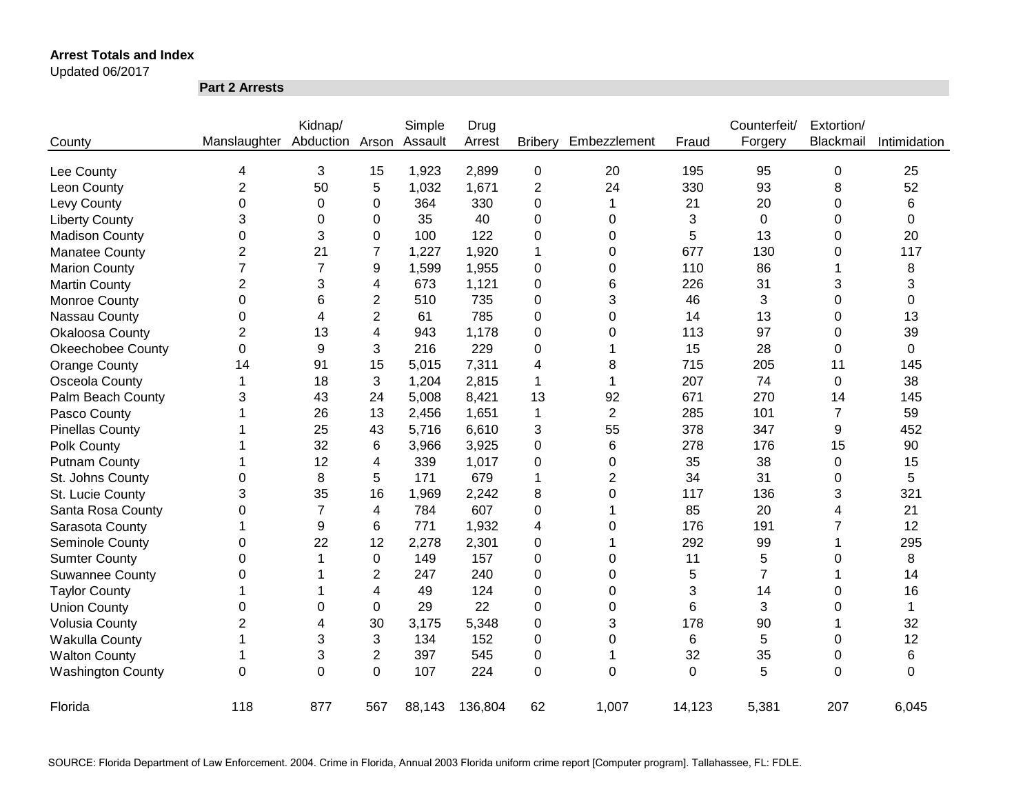#### Updated 06/2017

**Part 2 Arrests**

|                          |                | Kidnap/        |                | Simple  | Drug    |                |                |                | Counterfeit/   | Extortion/     |              |
|--------------------------|----------------|----------------|----------------|---------|---------|----------------|----------------|----------------|----------------|----------------|--------------|
| County                   | Manslaughter   | Abduction      | Arson          | Assault | Arrest  | <b>Bribery</b> | Embezzlement   | Fraud          | Forgery        | Blackmail      | Intimidation |
| Lee County               | 4              | 3              | 15             | 1,923   | 2,899   | $\pmb{0}$      | 20             | 195            | 95             | 0              | 25           |
| Leon County              | $\overline{2}$ | 50             | 5              | 1,032   | 1,671   | $\overline{2}$ | 24             | 330            | 93             | 8              | 52           |
| Levy County              | $\mathbf 0$    | 0              | 0              | 364     | 330     | 0              | 1              | 21             | 20             | 0              | 6            |
| <b>Liberty County</b>    | 3              | 0              | 0              | 35      | 40      | 0              | 0              | 3              | $\mathbf 0$    | 0              | 0            |
| <b>Madison County</b>    | $\mathbf 0$    | 3              | 0              | 100     | 122     | 0              | 0              | 5              | 13             | 0              | 20           |
| <b>Manatee County</b>    | $\overline{2}$ | 21             | $\overline{7}$ | 1,227   | 1,920   | 1              | 0              | 677            | 130            | 0              | 117          |
| <b>Marion County</b>     | $\overline{7}$ | $\overline{7}$ | 9              | 1,599   | 1,955   | 0              | 0              | 110            | 86             |                | 8            |
| <b>Martin County</b>     | $\overline{2}$ | 3              | 4              | 673     | 1,121   | 0              | 6              | 226            | 31             | 3              | 3            |
| Monroe County            | $\mathbf 0$    | 6              | $\overline{2}$ | 510     | 735     | 0              | 3              | 46             | 3              | 0              | 0            |
| Nassau County            | 0              | 4              | $\overline{2}$ | 61      | 785     | 0              | 0              | 14             | 13             | 0              | 13           |
| Okaloosa County          | $\overline{2}$ | 13             | 4              | 943     | 1,178   | 0              | $\Omega$       | 113            | 97             | 0              | 39           |
| <b>Okeechobee County</b> | 0              | 9              | 3              | 216     | 229     | 0              |                | 15             | 28             | 0              | 0            |
| Orange County            | 14             | 91             | 15             | 5,015   | 7,311   | 4              | 8              | 715            | 205            | 11             | 145          |
| Osceola County           | 1              | 18             | 3              | 1,204   | 2,815   | 1              | 1              | 207            | 74             | 0              | 38           |
| Palm Beach County        | 3              | 43             | 24             | 5,008   | 8,421   | 13             | 92             | 671            | 270            | 14             | 145          |
| Pasco County             |                | 26             | 13             | 2,456   | 1,651   | 1              | $\overline{2}$ | 285            | 101            | $\overline{7}$ | 59           |
| <b>Pinellas County</b>   |                | 25             | 43             | 5,716   | 6,610   | 3              | 55             | 378            | 347            | 9              | 452          |
| Polk County              |                | 32             | 6              | 3,966   | 3,925   | 0              | 6              | 278            | 176            | 15             | 90           |
| <b>Putnam County</b>     |                | 12             | 4              | 339     | 1,017   | 0              | 0              | 35             | 38             | 0              | 15           |
| St. Johns County         | 0              | 8              | 5              | 171     | 679     | 1              | $\overline{2}$ | 34             | 31             | 0              | 5            |
| St. Lucie County         | 3              | 35             | 16             | 1,969   | 2,242   | 8              | 0              | 117            | 136            | 3              | 321          |
| Santa Rosa County        | 0              | $\overline{7}$ | 4              | 784     | 607     | 0              | 1              | 85             | 20             | 4              | 21           |
| Sarasota County          | 1              | 9              | 6              | 771     | 1,932   | 4              | 0              | 176            | 191            | 7              | 12           |
| Seminole County          | 0              | 22             | 12             | 2,278   | 2,301   | 0              | 1              | 292            | 99             |                | 295          |
| <b>Sumter County</b>     | 0              | 1              | 0              | 149     | 157     | 0              | 0              | 11             | 5              | 0              | 8            |
| <b>Suwannee County</b>   | 0              |                | $\overline{2}$ | 247     | 240     | 0              | 0              | 5              | $\overline{7}$ |                | 14           |
| <b>Taylor County</b>     | 1              |                | 4              | 49      | 124     | 0              | 0              | 3              | 14             | 0              | 16           |
| <b>Union County</b>      | 0              | 0              | $\Omega$       | 29      | 22      | 0              | 0              | 6              | 3              | 0              | $\mathbf{1}$ |
| <b>Volusia County</b>    | 2              | 4              | 30             | 3,175   | 5,348   | 0              | 3              | 178            | 90             |                | 32           |
| Wakulla County           | 1              | 3              | 3              | 134     | 152     | 0              | 0              | 6              | 5              | 0              | 12           |
| <b>Walton County</b>     | 1              | 3              | $\overline{c}$ | 397     | 545     | 0              | -1             | 32             | 35             | 0              | 6            |
| <b>Washington County</b> | 0              | $\overline{0}$ | $\mathbf 0$    | 107     | 224     | $\overline{0}$ | $\Omega$       | $\overline{0}$ | 5              | $\overline{0}$ | $\Omega$     |
| Florida                  | 118            | 877            | 567            | 88,143  | 136,804 | 62             | 1,007          | 14,123         | 5,381          | 207            | 6,045        |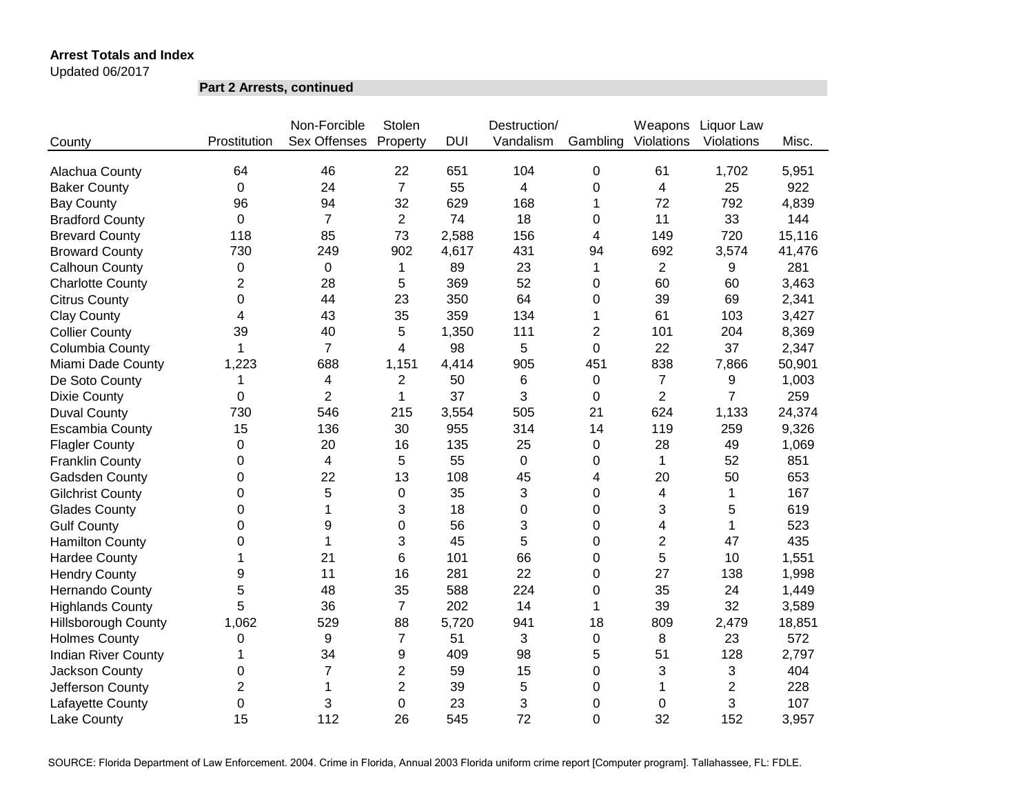Updated 06/2017

**Part 2 Arrests, continued**

|                            |                | Non-Forcible   | Stolen         |            | Destruction/   |                | Weapons        | Liquor Law     |        |
|----------------------------|----------------|----------------|----------------|------------|----------------|----------------|----------------|----------------|--------|
| County                     | Prostitution   | Sex Offenses   | Property       | <b>DUI</b> | Vandalism      | Gambling       | Violations     | Violations     | Misc.  |
|                            |                |                |                |            |                |                |                |                |        |
| Alachua County             | 64             | 46             | 22             | 651        | 104            | 0              | 61             | 1,702          | 5,951  |
| <b>Baker County</b>        | 0              | 24             | $\overline{7}$ | 55         | $\overline{4}$ | 0              | 4              | 25             | 922    |
| <b>Bay County</b>          | 96             | 94             | 32             | 629        | 168            | 1              | 72             | 792            | 4,839  |
| <b>Bradford County</b>     | 0              | $\overline{7}$ | $\overline{2}$ | 74         | 18             | 0              | 11             | 33             | 144    |
| <b>Brevard County</b>      | 118            | 85             | 73             | 2,588      | 156            | 4              | 149            | 720            | 15,116 |
| <b>Broward County</b>      | 730            | 249            | 902            | 4,617      | 431            | 94             | 692            | 3,574          | 41,476 |
| Calhoun County             | 0              | 0              | 1              | 89         | 23             | 1              | $\overline{2}$ | 9              | 281    |
| <b>Charlotte County</b>    | $\overline{2}$ | 28             | 5              | 369        | 52             | 0              | 60             | 60             | 3,463  |
| <b>Citrus County</b>       | 0              | 44             | 23             | 350        | 64             | 0              | 39             | 69             | 2,341  |
| <b>Clay County</b>         | 4              | 43             | 35             | 359        | 134            | 1              | 61             | 103            | 3,427  |
| <b>Collier County</b>      | 39             | 40             | 5              | 1,350      | 111            | $\overline{2}$ | 101            | 204            | 8,369  |
| Columbia County            | 1              | $\overline{7}$ | 4              | 98         | 5              | 0              | 22             | 37             | 2,347  |
| Miami Dade County          | 1,223          | 688            | 1,151          | 4,414      | 905            | 451            | 838            | 7,866          | 50,901 |
| De Soto County             | 1              | 4              | $\overline{2}$ | 50         | 6              | 0              | $\overline{7}$ | 9              | 1,003  |
| <b>Dixie County</b>        | 0              | $\overline{2}$ | 1              | 37         | 3              | 0              | $\overline{2}$ | $\overline{7}$ | 259    |
| <b>Duval County</b>        | 730            | 546            | 215            | 3,554      | 505            | 21             | 624            | 1,133          | 24,374 |
| <b>Escambia County</b>     | 15             | 136            | 30             | 955        | 314            | 14             | 119            | 259            | 9,326  |
| <b>Flagler County</b>      | $\Omega$       | 20             | 16             | 135        | 25             | 0              | 28             | 49             | 1,069  |
| <b>Franklin County</b>     | 0              | 4              | 5              | 55         | 0              | 0              | $\mathbf 1$    | 52             | 851    |
| <b>Gadsden County</b>      | 0              | 22             | 13             | 108        | 45             | 4              | 20             | 50             | 653    |
| <b>Gilchrist County</b>    | 0              | 5              | $\pmb{0}$      | 35         | 3              | 0              | 4              | 1              | 167    |
| <b>Glades County</b>       | 0              | 1              | 3              | 18         | 0              | 0              | 3              | 5              | 619    |
| <b>Gulf County</b>         | 0              | 9              | 0              | 56         | 3              | 0              | 4              | 1              | 523    |
| <b>Hamilton County</b>     | 0              | 1              | 3              | 45         | 5              | 0              | $\overline{2}$ | 47             | 435    |
| <b>Hardee County</b>       | 1              | 21             | 6              | 101        | 66             | 0              | 5              | 10             | 1,551  |
| <b>Hendry County</b>       | 9              | 11             | 16             | 281        | 22             | 0              | 27             | 138            | 1,998  |
| Hernando County            | 5              | 48             | 35             | 588        | 224            | 0              | 35             | 24             | 1,449  |
| <b>Highlands County</b>    | 5              | 36             | $\overline{7}$ | 202        | 14             | 1              | 39             | 32             | 3,589  |
| <b>Hillsborough County</b> | 1,062          | 529            | 88             | 5,720      | 941            | 18             | 809            | 2,479          | 18,851 |
| <b>Holmes County</b>       | $\pmb{0}$      | 9              | $\overline{7}$ | 51         | 3              | 0              | 8              | 23             | 572    |
| <b>Indian River County</b> | 1              | 34             | 9              | 409        | 98             | 5              | 51             | 128            | 2,797  |
| Jackson County             | 0              | $\overline{7}$ | $\overline{c}$ | 59         | 15             | 0              | 3              | 3              | 404    |
| Jefferson County           | $\overline{2}$ | 1              | $\overline{2}$ | 39         | 5              | 0              | 1              | $\overline{2}$ | 228    |
| Lafayette County           | 0              | 3              | 0              | 23         | 3              | 0              | 0              | 3              | 107    |
| Lake County                | 15             | 112            | 26             | 545        | 72             | $\overline{0}$ | 32             | 152            | 3,957  |